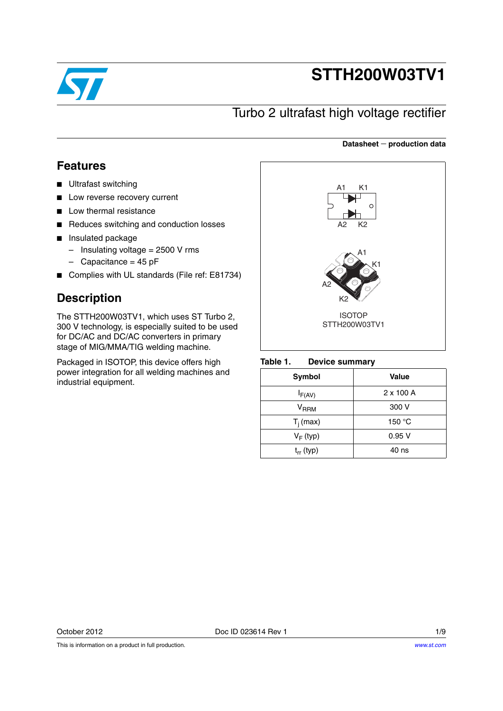

# **STTH200W03TV1**

## Turbo 2 ultrafast high voltage rectifier

#### **Datasheet production data**

### **Features**

- Ultrafast switching
- Low reverse recovery current
- Low thermal resistance
- Reduces switching and conduction losses
- Insulated package
	- $-$  Insulating voltage = 2500 V rms
	- $-$  Capacitance = 45 pF
- Complies with UL standards (File ref: E81734)

### **Description**

The STTH200W03TV1, which uses ST Turbo 2, 300 V technology, is especially suited to be used for DC/AC and DC/AC converters in primary stage of MIG/MMA/TIG welding machine.

Packaged in ISOTOP, this device offers high power integration for all welding machines and industrial equipment.



#### Table 1. **Device summary**

| <b>Symbol</b>  | <b>Value</b>     |
|----------------|------------------|
| $I_{F(AV)}$    | $2 \times 100$ A |
| $V_{RRM}$      | 300 V            |
| $T_i$ (max)    | 150 °C           |
| $V_F$ (typ)    | 0.95V            |
| $t_{rr}$ (typ) | 40 ns            |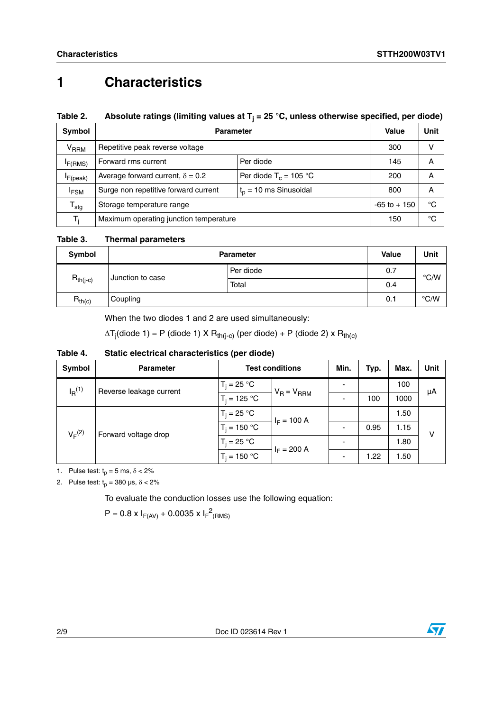# **1 Characteristics**

### Table 2. Absolute ratings (limiting values at T<sub>j</sub> = 25 °C, unless otherwise specified, per diode)

| Symbol                     | <b>Parameter</b>                                                |                          |     | Unit |
|----------------------------|-----------------------------------------------------------------|--------------------------|-----|------|
| V <sub>RRM</sub>           | Repetitive peak reverse voltage                                 |                          | 300 | v    |
| F(RMS)                     | Forward rms current<br>Per diode                                |                          | 145 | Α    |
| $I_{F(peak)}$              | Average forward current, $\delta = 0.2$                         | Per diode $T_c = 105$ °C | 200 | Α    |
| <sup>I</sup> FSM           | $tp$ = 10 ms Sinusoidal<br>Surge non repetitive forward current |                          | 800 | Α    |
| ${\mathsf T}_{\text{stg}}$ | Storage temperature range                                       | $-65$ to $+150$          | °C  |      |
| T.                         | Maximum operating junction temperature                          | 150                      | °C  |      |

**Table 3. Thermal parameters**

| Symbol        | <b>Parameter</b>          | <b>Value</b> | Unit |               |
|---------------|---------------------------|--------------|------|---------------|
|               | Per diode                 |              | 0.7  | $\degree$ C/W |
| $R_{th(j-c)}$ | Junction to case<br>Total |              | 0.4  |               |
| $R_{th(c)}$   | Coupling                  |              | 0.1  | $\degree$ C/W |

When the two diodes 1 and 2 are used simultaneously:

 $\Delta {\sf T}_{\sf j}$ (diode 1) = P (diode 1) X  ${\sf R}_{\sf th(j-c)}$  (per diode) + P (diode 2) x  ${\sf R}_{\sf th(c)}$ 

### **Table 4. Static electrical characteristics (per diode)**

| Symbol               | <b>Parameter</b>        | <b>Test conditions</b> | Min.            | Typ. | Max. | <b>Unit</b> |    |
|----------------------|-------------------------|------------------------|-----------------|------|------|-------------|----|
| $I_R$ <sup>(1)</sup> | Reverse leakage current | $T_i = 25 °C$          | $V_R = V_{RRM}$ |      |      | 100         | μA |
|                      |                         | $T_i = 125 °C$         |                 |      | 100  | 1000        |    |
| $V_F^{(2)}$          | Forward voltage drop    | $T_i = 25 °C$          | $I_F = 100 A$   |      |      | 1.50        | v  |
|                      |                         | $T_i = 150 °C$         |                 |      | 0.95 | 1.15        |    |
|                      |                         | $T_i = 25 °C$          | $I_F = 200 A$   |      |      | 1.80        |    |
|                      |                         | $T_i = 150 °C$         |                 |      | 1.22 | 1.50        |    |

1. Pulse test:  $t_p = 5$  ms,  $\delta < 2\%$ 

2. Pulse test:  $t_p = 380 \text{ }\mu\text{s}, \delta < 2\%$ 

To evaluate the conduction losses use the following equation:

 $P = 0.8 \times I_{F(AV)} + 0.0035 \times I_{F}^{2}$ (RMS)

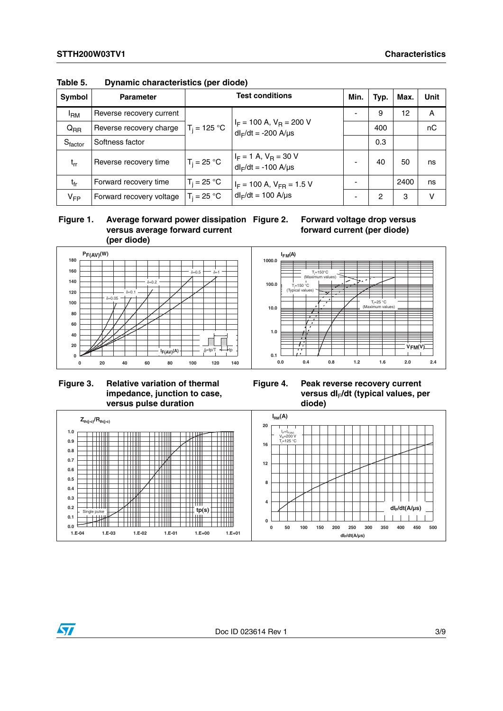| Symbol              | <b>Parameter</b>         | <b>Test conditions</b>                           |                                                                | Min.                     | Typ. | Max. | <b>Unit</b> |
|---------------------|--------------------------|--------------------------------------------------|----------------------------------------------------------------|--------------------------|------|------|-------------|
| <sup>I</sup> RM     | Reverse recovery current |                                                  |                                                                |                          | 9    | 12   | A           |
| $Q_{RR}$            | Reverse recovery charge  | $T_i = 125 °C$                                   | $I_F$ = 100 A, V <sub>R</sub> = 200 V<br>$dl_F/dt = -200$ A/µs |                          | 400  |      | nC          |
| S <sub>factor</sub> | Softness factor          |                                                  |                                                                |                          | 0.3  |      |             |
| $t_{rr}$            | Reverse recovery time    | $T_i = 25 °C$                                    | $I_F = 1$ A, $V_R = 30$ V<br>$dl_F/dt = -100$ A/ $\mu s$       | $\overline{\phantom{0}}$ | 40   | 50   | ns          |
| $t_{fr}$            | Forward recovery time    | $T_i = 25 °C$<br>$I_F$ = 100 A, $V_{FR}$ = 1.5 V |                                                                |                          |      | 2400 | ns          |
| $V_{FP}$            | Forward recovery voltage | $T_i = 25 °C$                                    | $dl_F/dt = 100$ A/ $\mu s$                                     |                          | 2    | 3    | v           |

**Table 5. Dynamic characteristics (per diode)**



**Forward voltage drop versus forward current (per diode)**



 **Figure 3. Relative variation of thermal impedance, junction to case, versus pulse duration**

**Figure 4. Peak reverse recovery current**  versus dl<sub>F</sub>/dt (typical values, per **diode)**



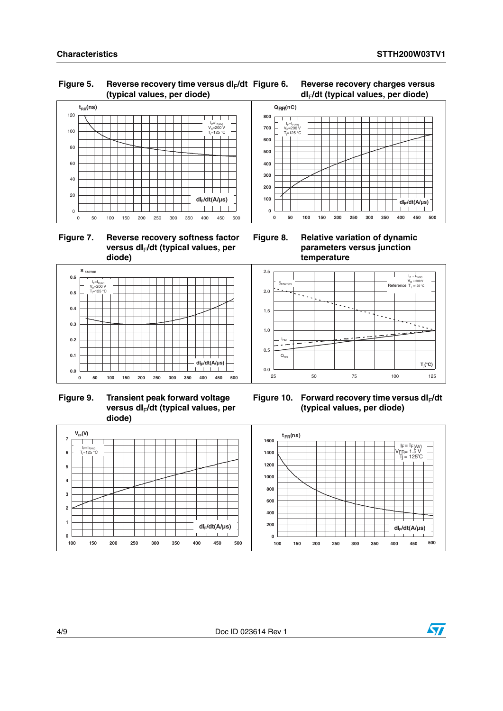#### Figure 5. Reverse recovery time versus dl<sub>F</sub>/dt **(typical values, per diode)**



 **Figure 7. Reverse recovery softness factor**  versus dl<sub>F</sub>/dt (typical values, per **diode)**



**0 50 100 150 200 250 300 350 400 450 500**

**Figure 6. Reverse recovery charges versus** 

**Figure 8. Relative variation of dynamic parameters versus junction temperature**



**Figure 9. Transient peak forward voltage**  versus dl<sub>F</sub>/dt (typical values, per **diode)**



Figure 10. Forward recovery time versus dl<sub>F</sub>/dt **(typical values, per diode)**



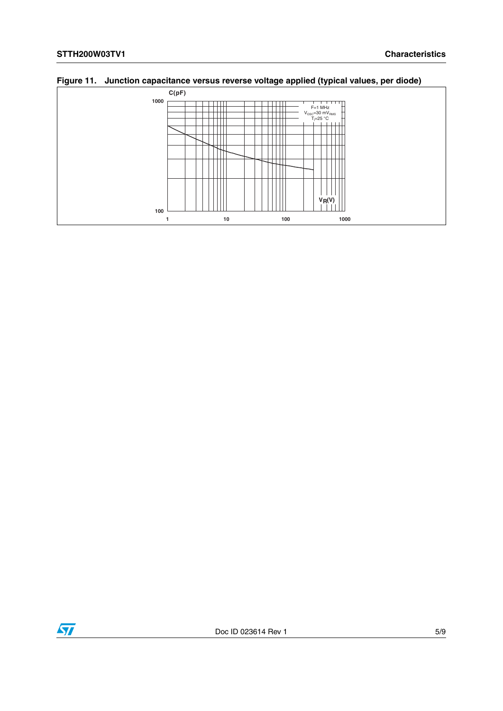

### **Figure 11. Junction capacitance versus reverse voltage applied (typical values, per diode)**

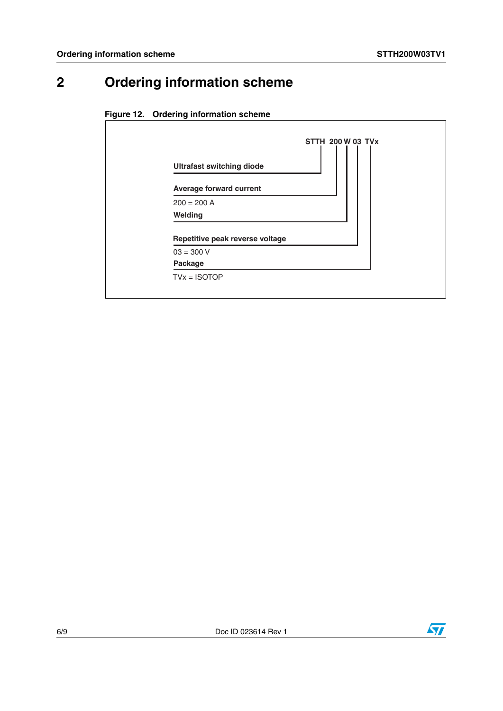# **2 Ordering information scheme**





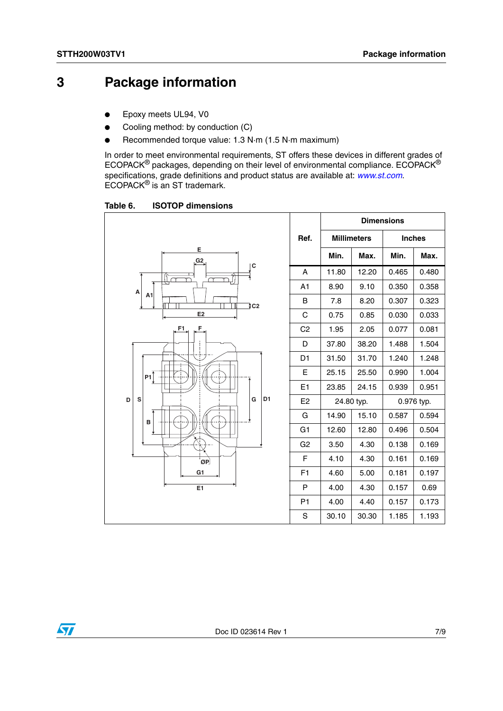## **3 Package information**

- Epoxy meets UL94, V0
- Cooling method: by conduction (C)
- Recommended torque value: 1.3 N·m (1.5 N·m maximum)

In order to meet environmental requirements, ST offers these devices in different grades of ECOPACK® packages, depending on their level of environmental compliance. ECOPACK® specifications, grade definitions and product status are available at: *[www.st.com](http://www.st.com)*. ECOPACK® is an ST trademark.

Table 6. **ISOTOP dimensions** 

|                               |                |                    | <b>Dimensions</b> |               |       |
|-------------------------------|----------------|--------------------|-------------------|---------------|-------|
|                               | Ref.           | <b>Millimeters</b> |                   | <b>Inches</b> |       |
| E<br>G2                       |                | Min.               | Max.              | Min.          | Max.  |
| C                             | A              | 11.80              | 12.20             | 0.465         | 0.480 |
| A                             | A <sub>1</sub> | 8.90               | 9.10              | 0.350         | 0.358 |
| A <sub>1</sub><br>_tc2        | В              | 7.8                | 8.20              | 0.307         | 0.323 |
| E <sub>2</sub>                | С              | 0.75               | 0.85              | 0.030         | 0.033 |
| F1<br>F.,                     | C <sub>2</sub> | 1.95               | 2.05              | 0.077         | 0.081 |
|                               | D              | 37.80              | 38.20             | 1.488         | 1.504 |
| Ţ                             | D <sub>1</sub> | 31.50              | 31.70             | 1.240         | 1.248 |
| P1                            | E              | 25.15              | 25.50             | 0.990         | 1.004 |
|                               | E <sub>1</sub> | 23.85              | 24.15             | 0.939         | 0.951 |
| D <sub>1</sub><br>S<br>G<br>D | E <sub>2</sub> | 24.80 typ.         |                   | 0.976 typ.    |       |
| в                             | G              | 14.90              | 15.10             | 0.587         | 0.594 |
|                               | G <sub>1</sub> | 12.60              | 12.80             | 0.496         | 0.504 |
|                               | G <sub>2</sub> | 3.50               | 4.30              | 0.138         | 0.169 |
| ØP                            | F              | 4.10               | 4.30              | 0.161         | 0.169 |
| G1                            | F <sub>1</sub> | 4.60               | 5.00              | 0.181         | 0.197 |
| E1                            | P              | 4.00               | 4.30              | 0.157         | 0.69  |
|                               | P <sub>1</sub> | 4.00               | 4.40              | 0.157         | 0.173 |
|                               | S              | 30.10              | 30.30             | 1.185         | 1.193 |

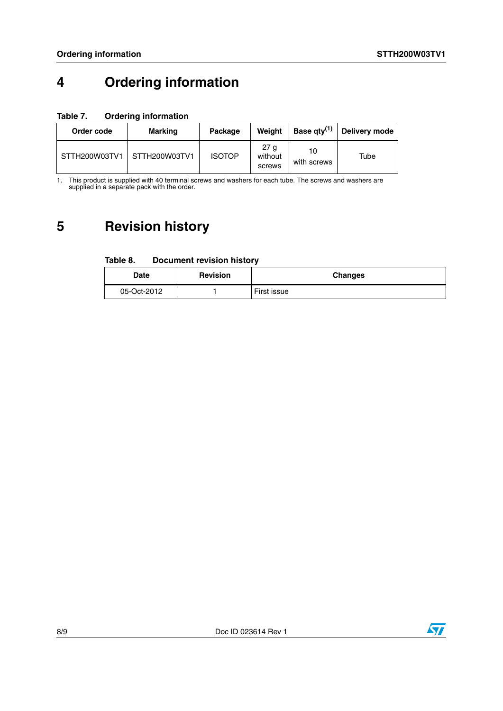# **4 Ordering information**

### **Table 7. Ordering information**

| Order code    | <b>Marking</b> | Package       | Weiaht                               | Base $qty^{(1)}$  | Delivery mode |
|---------------|----------------|---------------|--------------------------------------|-------------------|---------------|
| STTH200W03TV1 | STTH200W03TV1  | <b>ISOTOP</b> | 27 <sub>q</sub><br>without<br>screws | 10<br>with screws | Tube          |

1. This product is supplied with 40 terminal screws and washers for each tube. The screws and washers are supplied in a separate pack with the order.

# **5 Revision history**

#### Table 8. **Document revision history**

| <b>Date</b> | <b>Revision</b> | <b>Changes</b> |
|-------------|-----------------|----------------|
| 05-Oct-2012 |                 | First issue    |